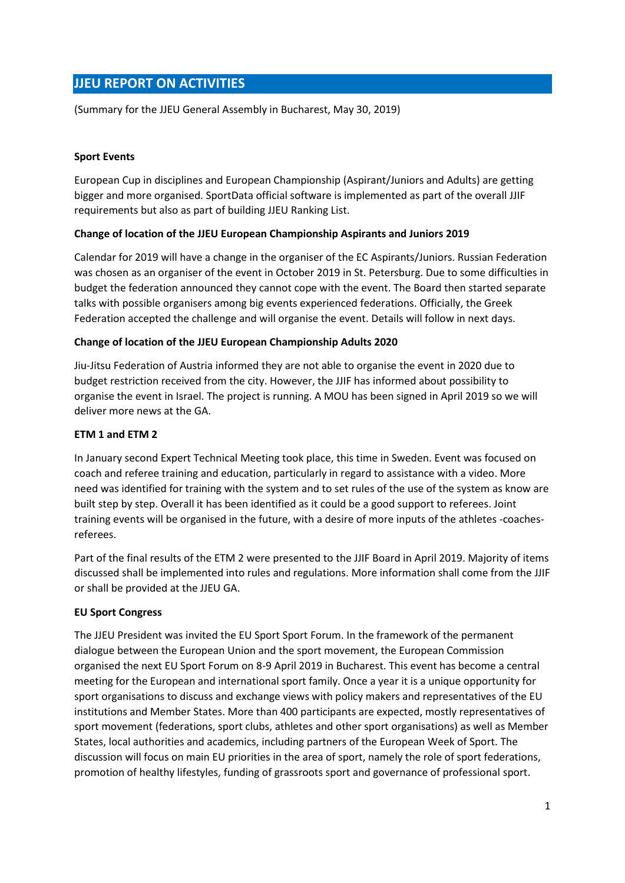# **JJEU REPORT ON ACTIVITIES**

(Summary for the JJEU General Assembly in Bucharest, May 30, 2019)

# **Sport Events**

European Cup in disciplines and European Championship (Aspirant/Juniors and Adults) are getting bigger and more organised. SportData official software is implemented as part of the overall JJIF requirements but also as part of building JJEU Ranking List.

## **Change of location of the JJEU European Championship Aspirants and Juniors 2019**

Calendar for 2019 will have a change in the organiser of the EC Aspirants/Juniors. Russian Federation was chosen as an organiser of the event in October 2019 in St. Petersburg. Due to some difficulties in budget the federation announced they cannot cope with the event. The Board then started separate talks with possible organisers among big events experienced federations. Officially, the Greek Federation accepted the challenge and will organise the event. Details will follow in next days.

## **Change of location of the JJEU European Championship Adults 2020**

Jiu-Jitsu Federation of Austria informed they are not able to organise the event in 2020 due to budget restriction received from the city. However, the JJIF has informed about possibility to organise the event in Israel. The project is running. A MOU has been signed in April 2019 so we will deliver more news at the GA.

## **ETM 1 and ETM 2**

In January second Expert Technical Meeting took place, this time in Sweden. Event was focused on coach and referee training and education, particularly in regard to assistance with a video. More need was identified for training with the system and to set rules of the use of the system as know are built step by step. Overall it has been identified as it could be a good support to referees. Joint training events will be organised in the future, with a desire of more inputs of the athletes -coachesreferees.

Part of the final results of the ETM 2 were presented to the JJIF Board in April 2019. Majority of items discussed shall be implemented into rules and regulations. More information shall come from the JJIF or shall be provided at the JJEU GA.

#### **EU Sport Congress**

The JJEU President was invited the EU Sport Sport Forum. In the framework of the permanent dialogue between the European Union and the sport movement, the European Commission organised the next EU Sport Forum on 8-9 April 2019 in Bucharest. This event has become a central meeting for the European and international sport family. Once a year it is a unique opportunity for sport organisations to discuss and exchange views with policy makers and representatives of the EU institutions and Member States. More than 400 participants are expected, mostly representatives of sport movement (federations, sport clubs, athletes and other sport organisations) as well as Member States, local authorities and academics, including partners of the European Week of Sport. The discussion will focus on main EU priorities in the area of sport, namely the role of sport federations, promotion of healthy lifestyles, funding of grassroots sport and governance of professional sport.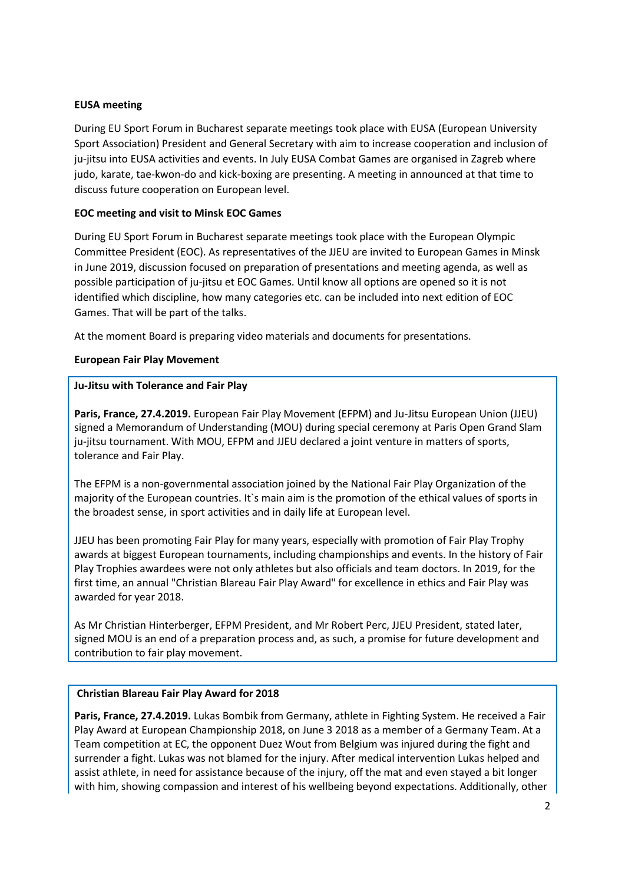## **EUSA meeting**

During EU Sport Forum in Bucharest separate meetings took place with EUSA (European University Sport Association) President and General Secretary with aim to increase cooperation and inclusion of ju-jitsu into EUSA activities and events. In July EUSA Combat Games are organised in Zagreb where judo, karate, tae-kwon-do and kick-boxing are presenting. A meeting in announced at that time to discuss future cooperation on European level.

## **EOC meeting and visit to Minsk EOC Games**

During EU Sport Forum in Bucharest separate meetings took place with the European Olympic Committee President (EOC). As representatives of the JJEU are invited to European Games in Minsk in June 2019, discussion focused on preparation of presentations and meeting agenda, as well as possible participation of ju-jitsu et EOC Games. Until know all options are opened so it is not identified which discipline, how many categories etc. can be included into next edition of EOC Games. That will be part of the talks.

At the moment Board is preparing video materials and documents for presentations.

## **European Fair Play Movement**

#### **Ju-Jitsu with Tolerance and Fair Play**

**Paris, France, 27.4.2019.** European Fair Play Movement (EFPM) and Ju-Jitsu European Union (JJEU) signed a Memorandum of Understanding (MOU) during special ceremony at Paris Open Grand Slam ju-jitsu tournament. With MOU, EFPM and JJEU declared a joint venture in matters of sports, tolerance and Fair Play.

The EFPM is a non-governmental association joined by the National Fair Play Organization of the majority of the European countries. It`s main aim is the promotion of the ethical values of sports in the broadest sense, in sport activities and in daily life at European level.

JJEU has been promoting Fair Play for many years, especially with promotion of Fair Play Trophy awards at biggest European tournaments, including championships and events. In the history of Fair Play Trophies awardees were not only athletes but also officials and team doctors. In 2019, for the first time, an annual "Christian Blareau Fair Play Award" for excellence in ethics and Fair Play was awarded for year 2018.

As Mr Christian Hinterberger, EFPM President, and Mr Robert Perc, JJEU President, stated later, signed MOU is an end of a preparation process and, as such, a promise for future development and contribution to fair play movement.

#### **Christian Blareau Fair Play Award for 2018**

**Paris, France, 27.4.2019.** Lukas Bombik from Germany, athlete in Fighting System. He received a Fair Play Award at European Championship 2018, on June 3 2018 as a member of a Germany Team. At a Team competition at EC, the opponent Duez Wout from Belgium was injured during the fight and surrender a fight. Lukas was not blamed for the injury. After medical intervention Lukas helped and assist athlete, in need for assistance because of the injury, off the mat and even stayed a bit longer with him, showing compassion and interest of his wellbeing beyond expectations. Additionally, other